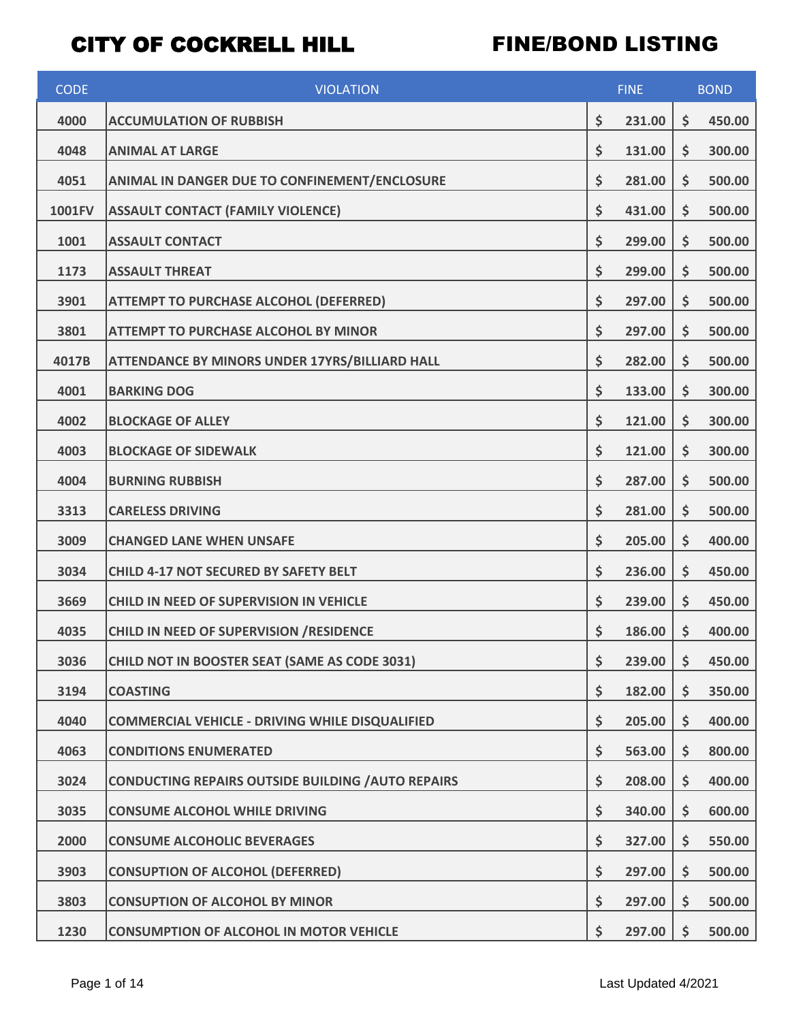| <b>CODE</b> | <b>VIOLATION</b>                                          | <b>FINE</b>  |    | <b>BOND</b> |  |
|-------------|-----------------------------------------------------------|--------------|----|-------------|--|
| 4000        | <b>ACCUMULATION OF RUBBISH</b>                            | \$<br>231.00 | \$ | 450.00      |  |
| 4048        | <b>ANIMAL AT LARGE</b>                                    | \$<br>131.00 | \$ | 300.00      |  |
| 4051        | ANIMAL IN DANGER DUE TO CONFINEMENT/ENCLOSURE             | \$<br>281.00 | \$ | 500.00      |  |
| 1001FV      | <b>ASSAULT CONTACT (FAMILY VIOLENCE)</b>                  | \$<br>431.00 | \$ | 500.00      |  |
| 1001        | <b>ASSAULT CONTACT</b>                                    | \$<br>299.00 | \$ | 500.00      |  |
| 1173        | <b>ASSAULT THREAT</b>                                     | \$<br>299.00 | \$ | 500.00      |  |
| 3901        | <b>ATTEMPT TO PURCHASE ALCOHOL (DEFERRED)</b>             | \$<br>297.00 | \$ | 500.00      |  |
| 3801        | <b>ATTEMPT TO PURCHASE ALCOHOL BY MINOR</b>               | \$<br>297.00 | \$ | 500.00      |  |
| 4017B       | ATTENDANCE BY MINORS UNDER 17YRS/BILLIARD HALL            | \$<br>282.00 | \$ | 500.00      |  |
| 4001        | <b>BARKING DOG</b>                                        | \$<br>133.00 | \$ | 300.00      |  |
| 4002        | <b>BLOCKAGE OF ALLEY</b>                                  | \$<br>121.00 | \$ | 300.00      |  |
| 4003        | <b>BLOCKAGE OF SIDEWALK</b>                               | \$<br>121.00 | \$ | 300.00      |  |
| 4004        | <b>BURNING RUBBISH</b>                                    | \$<br>287.00 | \$ | 500.00      |  |
| 3313        | <b>CARELESS DRIVING</b>                                   | \$<br>281.00 | \$ | 500.00      |  |
| 3009        | <b>CHANGED LANE WHEN UNSAFE</b>                           | \$<br>205.00 | \$ | 400.00      |  |
| 3034        | <b>CHILD 4-17 NOT SECURED BY SAFETY BELT</b>              | \$<br>236.00 | \$ | 450.00      |  |
| 3669        | <b>CHILD IN NEED OF SUPERVISION IN VEHICLE</b>            | \$<br>239.00 | \$ | 450.00      |  |
| 4035        | CHILD IN NEED OF SUPERVISION / RESIDENCE                  | \$<br>186.00 | \$ | 400.00      |  |
| 3036        | <b>CHILD NOT IN BOOSTER SEAT (SAME AS CODE 3031)</b>      | \$<br>239.00 | \$ | 450.00      |  |
| 3194        | <b>COASTING</b>                                           | \$<br>182.00 | \$ | 350.00      |  |
| 4040        | <b>COMMERCIAL VEHICLE - DRIVING WHILE DISQUALIFIED</b>    | \$<br>205.00 | \$ | 400.00      |  |
| 4063        | <b>CONDITIONS ENUMERATED</b>                              | \$<br>563.00 | \$ | 800.00      |  |
| 3024        | <b>CONDUCTING REPAIRS OUTSIDE BUILDING / AUTO REPAIRS</b> | \$<br>208.00 | \$ | 400.00      |  |
| 3035        | <b>CONSUME ALCOHOL WHILE DRIVING</b>                      | \$<br>340.00 | \$ | 600.00      |  |
| 2000        | <b>CONSUME ALCOHOLIC BEVERAGES</b>                        | \$<br>327.00 | \$ | 550.00      |  |
| 3903        | <b>CONSUPTION OF ALCOHOL (DEFERRED)</b>                   | \$<br>297.00 | \$ | 500.00      |  |
| 3803        | <b>CONSUPTION OF ALCOHOL BY MINOR</b>                     | \$<br>297.00 | \$ | 500.00      |  |
| 1230        | <b>CONSUMPTION OF ALCOHOL IN MOTOR VEHICLE</b>            | \$<br>297.00 | \$ | 500.00      |  |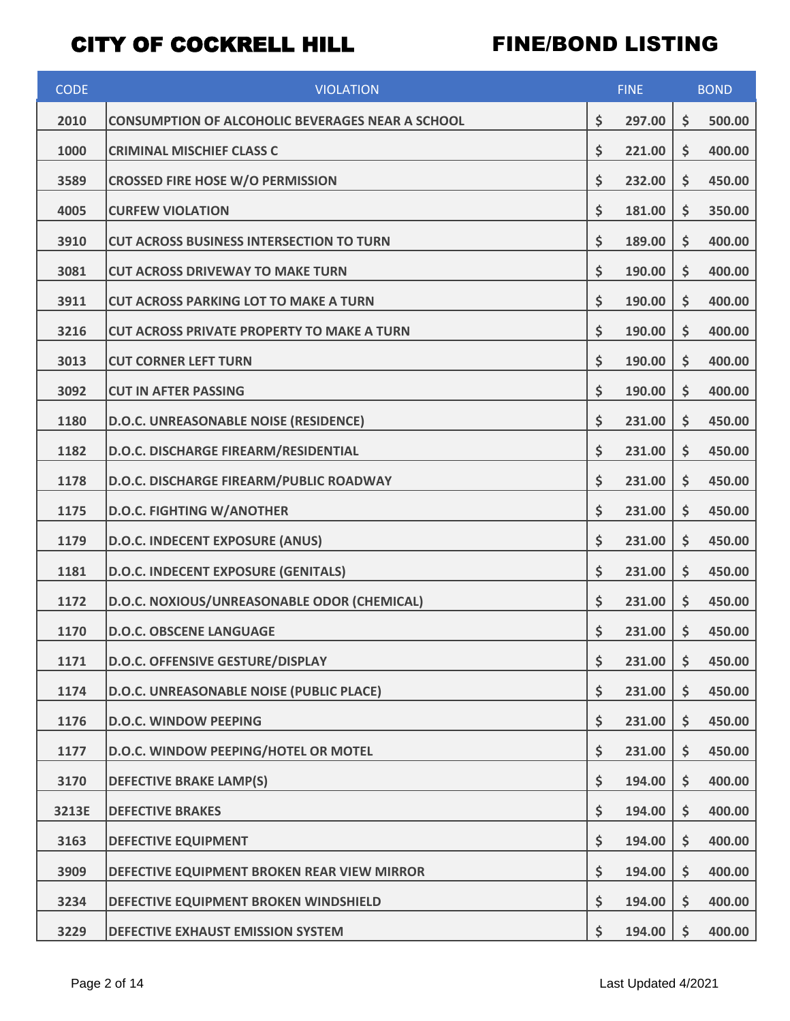| <b>CODE</b> | <b>VIOLATION</b>                                        | <b>FINE</b>  | <b>BOND</b>  |
|-------------|---------------------------------------------------------|--------------|--------------|
| 2010        | <b>CONSUMPTION OF ALCOHOLIC BEVERAGES NEAR A SCHOOL</b> | \$<br>297.00 | \$<br>500.00 |
| 1000        | <b>CRIMINAL MISCHIEF CLASS C</b>                        | \$<br>221.00 | \$<br>400.00 |
| 3589        | <b>CROSSED FIRE HOSE W/O PERMISSION</b>                 | \$<br>232.00 | \$<br>450.00 |
| 4005        | <b>CURFEW VIOLATION</b>                                 | \$<br>181.00 | \$<br>350.00 |
| 3910        | <b>CUT ACROSS BUSINESS INTERSECTION TO TURN</b>         | \$<br>189.00 | \$<br>400.00 |
| 3081        | <b>CUT ACROSS DRIVEWAY TO MAKE TURN</b>                 | \$<br>190.00 | \$<br>400.00 |
| 3911        | <b>CUT ACROSS PARKING LOT TO MAKE A TURN</b>            | \$<br>190.00 | \$<br>400.00 |
| 3216        | <b>CUT ACROSS PRIVATE PROPERTY TO MAKE A TURN</b>       | \$<br>190.00 | \$<br>400.00 |
| 3013        | <b>CUT CORNER LEFT TURN</b>                             | \$<br>190.00 | \$<br>400.00 |
| 3092        | <b>CUT IN AFTER PASSING</b>                             | \$<br>190.00 | \$<br>400.00 |
| 1180        | D.O.C. UNREASONABLE NOISE (RESIDENCE)                   | \$<br>231.00 | \$<br>450.00 |
| 1182        | D.O.C. DISCHARGE FIREARM/RESIDENTIAL                    | \$<br>231.00 | \$<br>450.00 |
| 1178        | D.O.C. DISCHARGE FIREARM/PUBLIC ROADWAY                 | \$<br>231.00 | \$<br>450.00 |
| 1175        | <b>D.O.C. FIGHTING W/ANOTHER</b>                        | \$<br>231.00 | \$<br>450.00 |
| 1179        | <b>D.O.C. INDECENT EXPOSURE (ANUS)</b>                  | \$<br>231.00 | \$<br>450.00 |
| 1181        | D.O.C. INDECENT EXPOSURE (GENITALS)                     | \$<br>231.00 | \$<br>450.00 |
| 1172        | D.O.C. NOXIOUS/UNREASONABLE ODOR (CHEMICAL)             | \$<br>231.00 | \$<br>450.00 |
| 1170        | <b>D.O.C. OBSCENE LANGUAGE</b>                          | \$<br>231.00 | \$<br>450.00 |
| 1171        | D.O.C. OFFENSIVE GESTURE/DISPLAY                        | \$<br>231.00 | \$<br>450.00 |
| 1174        | D.O.C. UNREASONABLE NOISE (PUBLIC PLACE)                | \$<br>231.00 | \$<br>450.00 |
| 1176        | <b>D.O.C. WINDOW PEEPING</b>                            | \$<br>231.00 | \$<br>450.00 |
| 1177        | D.O.C. WINDOW PEEPING/HOTEL OR MOTEL                    | \$<br>231.00 | \$<br>450.00 |
| 3170        | <b>DEFECTIVE BRAKE LAMP(S)</b>                          | \$<br>194.00 | \$<br>400.00 |
| 3213E       | <b>DEFECTIVE BRAKES</b>                                 | \$<br>194.00 | \$<br>400.00 |
| 3163        | <b>DEFECTIVE EQUIPMENT</b>                              | \$<br>194.00 | \$<br>400.00 |
| 3909        | DEFECTIVE EQUIPMENT BROKEN REAR VIEW MIRROR             | \$<br>194.00 | \$<br>400.00 |
| 3234        | DEFECTIVE EQUIPMENT BROKEN WINDSHIELD                   | \$<br>194.00 | \$<br>400.00 |
| 3229        | DEFECTIVE EXHAUST EMISSION SYSTEM                       | \$<br>194.00 | \$<br>400.00 |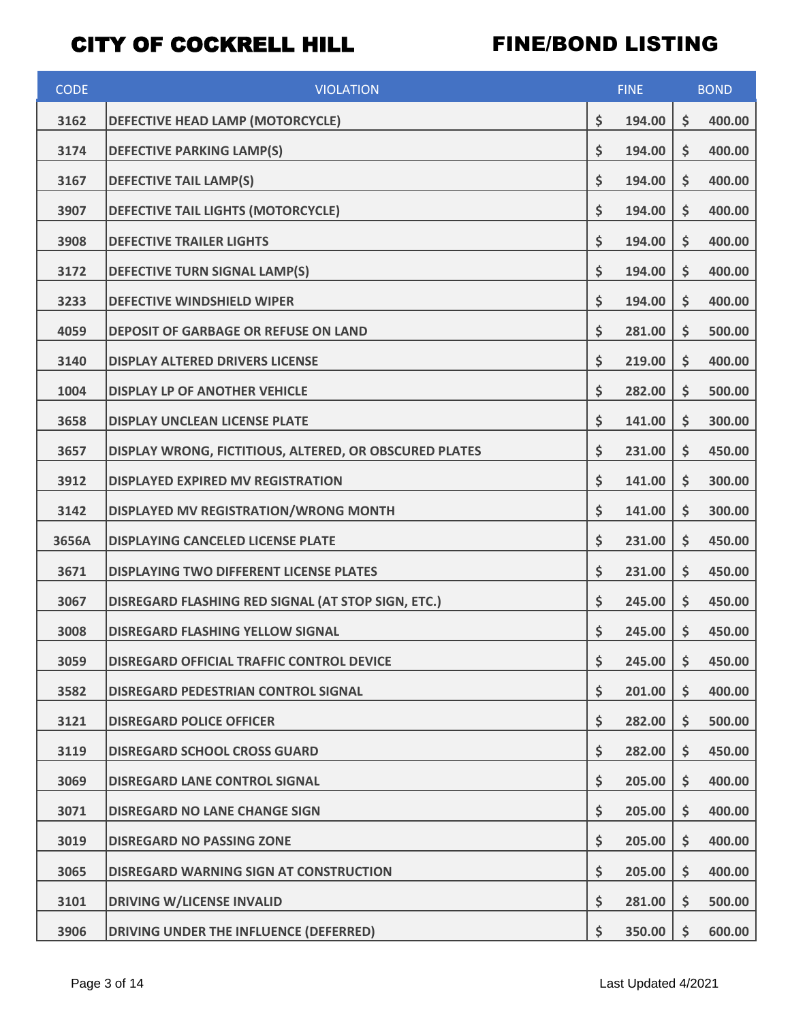| <b>CODE</b> | <b>VIOLATION</b>                                       | <b>FINE</b>  |    | <b>BOND</b> |
|-------------|--------------------------------------------------------|--------------|----|-------------|
| 3162        | DEFECTIVE HEAD LAMP (MOTORCYCLE)                       | \$<br>194.00 | \$ | 400.00      |
| 3174        | <b>DEFECTIVE PARKING LAMP(S)</b>                       | \$<br>194.00 | \$ | 400.00      |
| 3167        | <b>DEFECTIVE TAIL LAMP(S)</b>                          | \$<br>194.00 | \$ | 400.00      |
| 3907        | DEFECTIVE TAIL LIGHTS (MOTORCYCLE)                     | \$<br>194.00 | \$ | 400.00      |
| 3908        | <b>DEFECTIVE TRAILER LIGHTS</b>                        | \$<br>194.00 | \$ | 400.00      |
| 3172        | DEFECTIVE TURN SIGNAL LAMP(S)                          | \$<br>194.00 | \$ | 400.00      |
| 3233        | <b>DEFECTIVE WINDSHIELD WIPER</b>                      | \$<br>194.00 | \$ | 400.00      |
| 4059        | <b>DEPOSIT OF GARBAGE OR REFUSE ON LAND</b>            | \$<br>281.00 | \$ | 500.00      |
| 3140        | <b>DISPLAY ALTERED DRIVERS LICENSE</b>                 | \$<br>219.00 | \$ | 400.00      |
| 1004        | <b>DISPLAY LP OF ANOTHER VEHICLE</b>                   | \$<br>282.00 | \$ | 500.00      |
| 3658        | <b>DISPLAY UNCLEAN LICENSE PLATE</b>                   | \$<br>141.00 | \$ | 300.00      |
| 3657        | DISPLAY WRONG, FICTITIOUS, ALTERED, OR OBSCURED PLATES | \$<br>231.00 | \$ | 450.00      |
| 3912        | <b>DISPLAYED EXPIRED MV REGISTRATION</b>               | \$<br>141.00 | \$ | 300.00      |
| 3142        | DISPLAYED MV REGISTRATION/WRONG MONTH                  | \$<br>141.00 | \$ | 300.00      |
| 3656A       | <b>DISPLAYING CANCELED LICENSE PLATE</b>               | \$<br>231.00 | \$ | 450.00      |
| 3671        | <b>DISPLAYING TWO DIFFERENT LICENSE PLATES</b>         | \$<br>231.00 | \$ | 450.00      |
| 3067        | DISREGARD FLASHING RED SIGNAL (AT STOP SIGN, ETC.)     | \$<br>245.00 | \$ | 450.00      |
| 3008        | <b>DISREGARD FLASHING YELLOW SIGNAL</b>                | \$<br>245.00 | \$ | 450.00      |
| 3059        | <b>DISREGARD OFFICIAL TRAFFIC CONTROL DEVICE</b>       | \$<br>245.00 | \$ | 450.00      |
| 3582        | DISREGARD PEDESTRIAN CONTROL SIGNAL                    | \$<br>201.00 | \$ | 400.00      |
| 3121        | <b>DISREGARD POLICE OFFICER</b>                        | \$<br>282.00 | \$ | 500.00      |
| 3119        | <b>DISREGARD SCHOOL CROSS GUARD</b>                    | \$<br>282.00 | \$ | 450.00      |
| 3069        | <b>DISREGARD LANE CONTROL SIGNAL</b>                   | \$<br>205.00 | \$ | 400.00      |
| 3071        | <b>DISREGARD NO LANE CHANGE SIGN</b>                   | \$<br>205.00 | \$ | 400.00      |
| 3019        | <b>DISREGARD NO PASSING ZONE</b>                       | \$<br>205.00 | \$ | 400.00      |
| 3065        | DISREGARD WARNING SIGN AT CONSTRUCTION                 | \$<br>205.00 | \$ | 400.00      |
| 3101        | <b>DRIVING W/LICENSE INVALID</b>                       | \$<br>281.00 | \$ | 500.00      |
| 3906        | DRIVING UNDER THE INFLUENCE (DEFERRED)                 | \$<br>350.00 | \$ | 600.00      |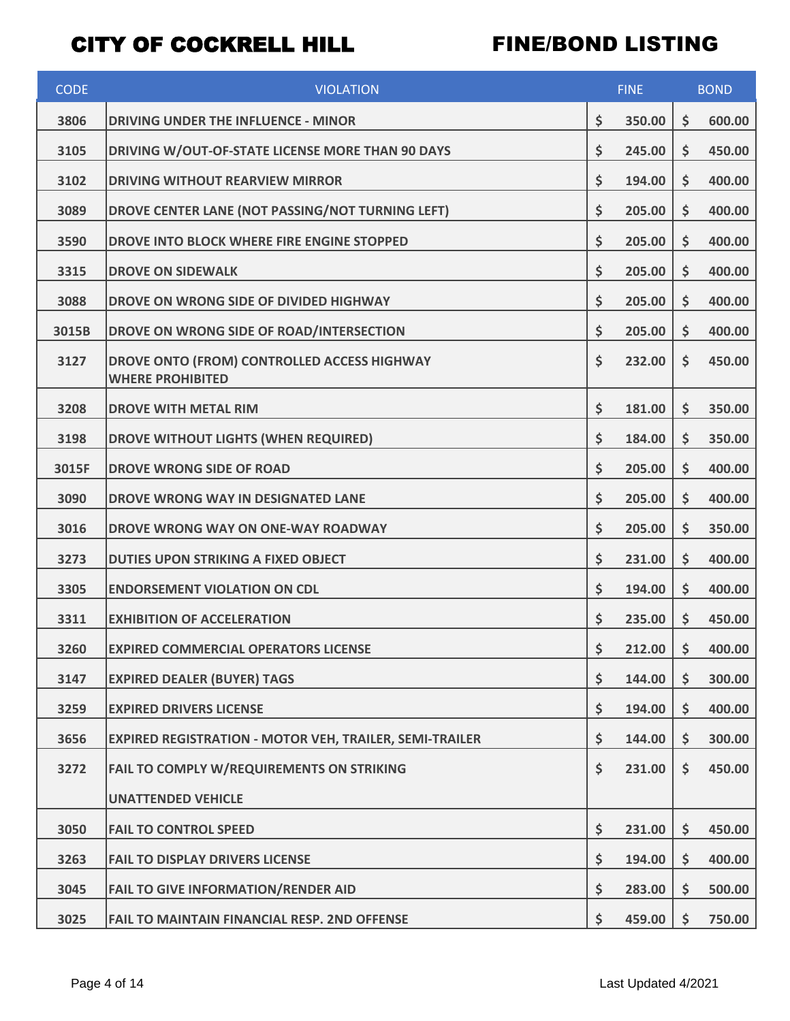| <b>CODE</b> | <b>VIOLATION</b>                                                       | <b>FINE</b>         |    | <b>BOND</b> |  |
|-------------|------------------------------------------------------------------------|---------------------|----|-------------|--|
| 3806        | <b>DRIVING UNDER THE INFLUENCE - MINOR</b>                             | \$<br>350.00        | \$ | 600.00      |  |
| 3105        | DRIVING W/OUT-OF-STATE LICENSE MORE THAN 90 DAYS                       | \$<br>245.00        | \$ | 450.00      |  |
| 3102        | <b>DRIVING WITHOUT REARVIEW MIRROR</b>                                 | \$<br>194.00        | \$ | 400.00      |  |
| 3089        | DROVE CENTER LANE (NOT PASSING/NOT TURNING LEFT)                       | \$<br>205.00        | \$ | 400.00      |  |
| 3590        | DROVE INTO BLOCK WHERE FIRE ENGINE STOPPED                             | \$<br>205.00        | \$ | 400.00      |  |
| 3315        | <b>DROVE ON SIDEWALK</b>                                               | \$<br>205.00        | \$ | 400.00      |  |
| 3088        | DROVE ON WRONG SIDE OF DIVIDED HIGHWAY                                 | \$<br>205.00        | \$ | 400.00      |  |
| 3015B       | DROVE ON WRONG SIDE OF ROAD/INTERSECTION                               | \$<br>205.00        | \$ | 400.00      |  |
| 3127        | DROVE ONTO (FROM) CONTROLLED ACCESS HIGHWAY<br><b>WHERE PROHIBITED</b> | \$<br>232.00        | \$ | 450.00      |  |
| 3208        | <b>DROVE WITH METAL RIM</b>                                            | \$<br>181.00        | \$ | 350.00      |  |
| 3198        | DROVE WITHOUT LIGHTS (WHEN REQUIRED)                                   | \$<br>184.00        | \$ | 350.00      |  |
| 3015F       | <b>DROVE WRONG SIDE OF ROAD</b>                                        | \$<br>205.00        | \$ | 400.00      |  |
| 3090        | DROVE WRONG WAY IN DESIGNATED LANE                                     | \$<br>205.00        | \$ | 400.00      |  |
| 3016        | DROVE WRONG WAY ON ONE-WAY ROADWAY                                     | \$<br>205.00        | \$ | 350.00      |  |
| 3273        | <b>DUTIES UPON STRIKING A FIXED OBJECT</b>                             | \$<br>231.00        | \$ | 400.00      |  |
| 3305        | <b>ENDORSEMENT VIOLATION ON CDL</b>                                    | \$<br>194.00        | \$ | 400.00      |  |
| 3311        | <b>EXHIBITION OF ACCELERATION</b>                                      | \$<br>235.00        | \$ | 450.00      |  |
| 3260        | <b>EXPIRED COMMERCIAL OPERATORS LICENSE</b>                            | \$<br>$212.00$   \$ |    | 400.00      |  |
| 3147        | <b>EXPIRED DEALER (BUYER) TAGS</b>                                     | \$<br>144.00        | \$ | 300.00      |  |
| 3259        | <b>EXPIRED DRIVERS LICENSE</b>                                         | \$<br>194.00        | \$ | 400.00      |  |
| 3656        | <b>EXPIRED REGISTRATION - MOTOR VEH, TRAILER, SEMI-TRAILER</b>         | \$<br>144.00        | \$ | 300.00      |  |
| 3272        | FAIL TO COMPLY W/REQUIREMENTS ON STRIKING                              | \$<br>231.00        | \$ | 450.00      |  |
|             | <b>UNATTENDED VEHICLE</b>                                              |                     |    |             |  |
| 3050        | <b>FAIL TO CONTROL SPEED</b>                                           | \$<br>231.00        | \$ | 450.00      |  |
| 3263        | <b>FAIL TO DISPLAY DRIVERS LICENSE</b>                                 | \$<br>194.00        | \$ | 400.00      |  |
| 3045        | <b>FAIL TO GIVE INFORMATION/RENDER AID</b>                             | \$<br>283.00        | \$ | 500.00      |  |
| 3025        | <b>FAIL TO MAINTAIN FINANCIAL RESP. 2ND OFFENSE</b>                    | \$<br>459.00        | \$ | 750.00      |  |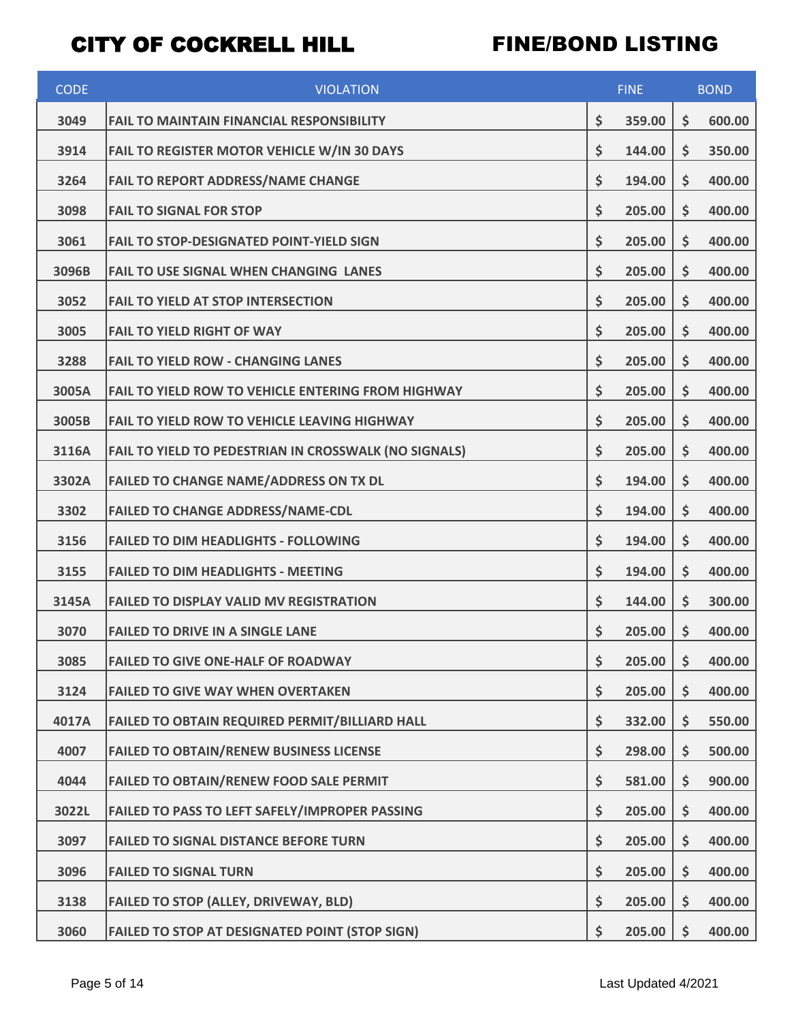| <b>CODE</b> | <b>VIOLATION</b>                                          | <b>FINE</b>  |    | <b>BOND</b> |  |
|-------------|-----------------------------------------------------------|--------------|----|-------------|--|
| 3049        | <b>FAIL TO MAINTAIN FINANCIAL RESPONSIBILITY</b>          | \$<br>359.00 | \$ | 600.00      |  |
| 3914        | FAIL TO REGISTER MOTOR VEHICLE W/IN 30 DAYS               | \$<br>144.00 | \$ | 350.00      |  |
| 3264        | <b>FAIL TO REPORT ADDRESS/NAME CHANGE</b>                 | \$<br>194.00 | \$ | 400.00      |  |
| 3098        | <b>FAIL TO SIGNAL FOR STOP</b>                            | \$<br>205.00 | \$ | 400.00      |  |
| 3061        | <b>FAIL TO STOP-DESIGNATED POINT-YIELD SIGN</b>           | \$<br>205.00 | \$ | 400.00      |  |
| 3096B       | <b>FAIL TO USE SIGNAL WHEN CHANGING LANES</b>             | \$<br>205.00 | \$ | 400.00      |  |
| 3052        | <b>FAIL TO YIELD AT STOP INTERSECTION</b>                 | \$<br>205.00 | \$ | 400.00      |  |
| 3005        | <b>FAIL TO YIELD RIGHT OF WAY</b>                         | \$<br>205.00 | \$ | 400.00      |  |
| 3288        | <b>FAIL TO YIELD ROW - CHANGING LANES</b>                 | \$<br>205.00 | \$ | 400.00      |  |
| 3005A       | <b>FAIL TO YIELD ROW TO VEHICLE ENTERING FROM HIGHWAY</b> | \$<br>205.00 | \$ | 400.00      |  |
| 3005B       | <b>FAIL TO YIELD ROW TO VEHICLE LEAVING HIGHWAY</b>       | \$<br>205.00 | \$ | 400.00      |  |
| 3116A       | FAIL TO YIELD TO PEDESTRIAN IN CROSSWALK (NO SIGNALS)     | \$<br>205.00 | \$ | 400.00      |  |
| 3302A       | <b>FAILED TO CHANGE NAME/ADDRESS ON TX DL</b>             | \$<br>194.00 | \$ | 400.00      |  |
| 3302        | <b>FAILED TO CHANGE ADDRESS/NAME-CDL</b>                  | \$<br>194.00 | \$ | 400.00      |  |
| 3156        | <b>FAILED TO DIM HEADLIGHTS - FOLLOWING</b>               | \$<br>194.00 | \$ | 400.00      |  |
| 3155        | <b>FAILED TO DIM HEADLIGHTS - MEETING</b>                 | \$<br>194.00 | \$ | 400.00      |  |
| 3145A       | <b>FAILED TO DISPLAY VALID MV REGISTRATION</b>            | \$<br>144.00 | \$ | 300.00      |  |
| 3070        | <b>FAILED TO DRIVE IN A SINGLE LANE</b>                   | \$<br>205.00 | \$ | 400.00      |  |
| 3085        | <b>FAILED TO GIVE ONE-HALF OF ROADWAY</b>                 | \$<br>205.00 | \$ | 400.00      |  |
| 3124        | <b>FAILED TO GIVE WAY WHEN OVERTAKEN</b>                  | \$<br>205.00 | \$ | 400.00      |  |
| 4017A       | FAILED TO OBTAIN REQUIRED PERMIT/BILLIARD HALL            | \$<br>332.00 | \$ | 550.00      |  |
| 4007        | <b>FAILED TO OBTAIN/RENEW BUSINESS LICENSE</b>            | \$<br>298.00 | \$ | 500.00      |  |
| 4044        | <b>FAILED TO OBTAIN/RENEW FOOD SALE PERMIT</b>            | \$<br>581.00 | \$ | 900.00      |  |
| 3022L       | FAILED TO PASS TO LEFT SAFELY/IMPROPER PASSING            | \$<br>205.00 | \$ | 400.00      |  |
| 3097        | <b>FAILED TO SIGNAL DISTANCE BEFORE TURN</b>              | \$<br>205.00 | \$ | 400.00      |  |
| 3096        | <b>FAILED TO SIGNAL TURN</b>                              | \$<br>205.00 | \$ | 400.00      |  |
| 3138        | <b>FAILED TO STOP (ALLEY, DRIVEWAY, BLD)</b>              | \$<br>205.00 | \$ | 400.00      |  |
| 3060        | <b>FAILED TO STOP AT DESIGNATED POINT (STOP SIGN)</b>     | \$<br>205.00 | \$ | 400.00      |  |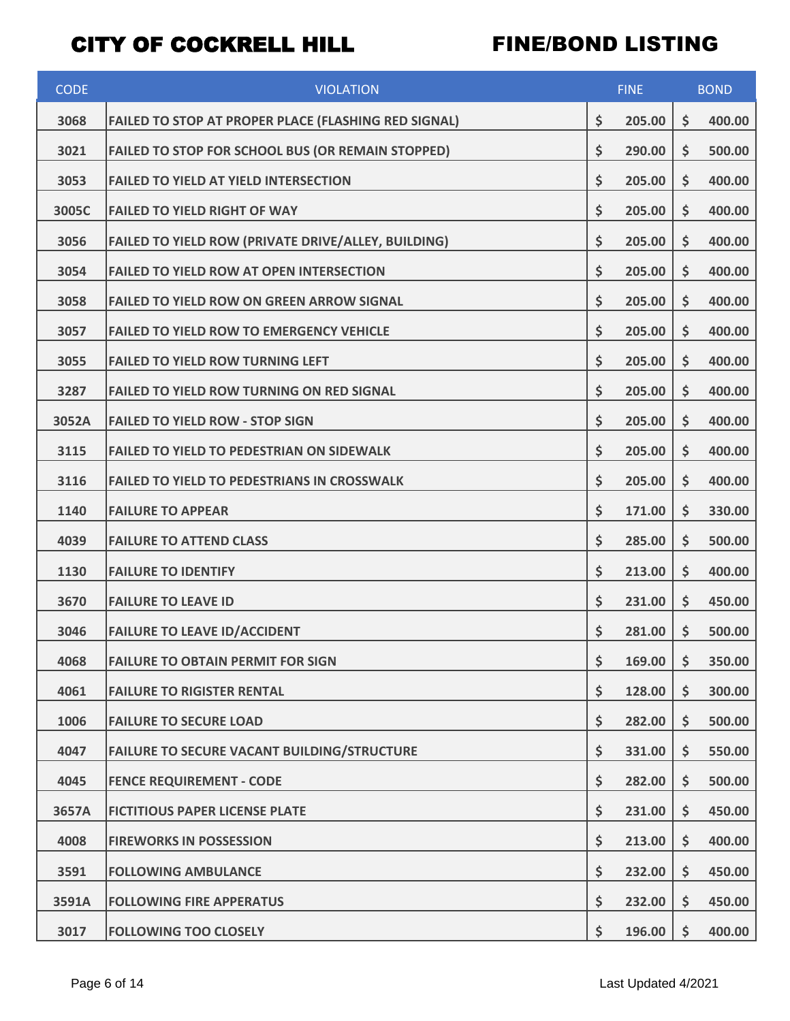| <b>CODE</b> | <b>VIOLATION</b>                                            | <b>FINE</b>  |    | <b>BOND</b> |  |
|-------------|-------------------------------------------------------------|--------------|----|-------------|--|
| 3068        | <b>FAILED TO STOP AT PROPER PLACE (FLASHING RED SIGNAL)</b> | \$<br>205.00 | \$ | 400.00      |  |
| 3021        | FAILED TO STOP FOR SCHOOL BUS (OR REMAIN STOPPED)           | \$<br>290.00 | \$ | 500.00      |  |
| 3053        | <b>FAILED TO YIELD AT YIELD INTERSECTION</b>                | \$<br>205.00 | \$ | 400.00      |  |
| 3005C       | <b>FAILED TO YIELD RIGHT OF WAY</b>                         | \$<br>205.00 | \$ | 400.00      |  |
| 3056        | FAILED TO YIELD ROW (PRIVATE DRIVE/ALLEY, BUILDING)         | \$<br>205.00 | \$ | 400.00      |  |
| 3054        | <b>FAILED TO YIELD ROW AT OPEN INTERSECTION</b>             | \$<br>205.00 | \$ | 400.00      |  |
| 3058        | <b>FAILED TO YIELD ROW ON GREEN ARROW SIGNAL</b>            | \$<br>205.00 | \$ | 400.00      |  |
| 3057        | <b>FAILED TO YIELD ROW TO EMERGENCY VEHICLE</b>             | \$<br>205.00 | \$ | 400.00      |  |
| 3055        | <b>FAILED TO YIELD ROW TURNING LEFT</b>                     | \$<br>205.00 | \$ | 400.00      |  |
| 3287        | <b>FAILED TO YIELD ROW TURNING ON RED SIGNAL</b>            | \$<br>205.00 | \$ | 400.00      |  |
| 3052A       | <b>FAILED TO YIELD ROW - STOP SIGN</b>                      | \$<br>205.00 | \$ | 400.00      |  |
| 3115        | <b>FAILED TO YIELD TO PEDESTRIAN ON SIDEWALK</b>            | \$<br>205.00 | \$ | 400.00      |  |
| 3116        | <b>FAILED TO YIELD TO PEDESTRIANS IN CROSSWALK</b>          | \$<br>205.00 | \$ | 400.00      |  |
| 1140        | <b>FAILURE TO APPEAR</b>                                    | \$<br>171.00 | \$ | 330.00      |  |
| 4039        | <b>FAILURE TO ATTEND CLASS</b>                              | \$<br>285.00 | \$ | 500.00      |  |
| 1130        | <b>FAILURE TO IDENTIFY</b>                                  | \$<br>213.00 | \$ | 400.00      |  |
| 3670        | <b>FAILURE TO LEAVE ID</b>                                  | \$<br>231.00 | \$ | 450.00      |  |
| 3046        | <b>FAILURE TO LEAVE ID/ACCIDENT</b>                         | \$<br>281.00 | \$ | 500.00      |  |
| 4068        | <b>FAILURE TO OBTAIN PERMIT FOR SIGN</b>                    | \$<br>169.00 | \$ | 350.00      |  |
| 4061        | <b>FAILURE TO RIGISTER RENTAL</b>                           | \$<br>128.00 | \$ | 300.00      |  |
| 1006        | <b>FAILURE TO SECURE LOAD</b>                               | \$<br>282.00 | \$ | 500.00      |  |
| 4047        | <b>FAILURE TO SECURE VACANT BUILDING/STRUCTURE</b>          | \$<br>331.00 | \$ | 550.00      |  |
| 4045        | <b>FENCE REQUIREMENT - CODE</b>                             | \$<br>282.00 | \$ | 500.00      |  |
| 3657A       | <b>FICTITIOUS PAPER LICENSE PLATE</b>                       | \$<br>231.00 | \$ | 450.00      |  |
| 4008        | <b>FIREWORKS IN POSSESSION</b>                              | \$<br>213.00 | \$ | 400.00      |  |
| 3591        | <b>FOLLOWING AMBULANCE</b>                                  | \$<br>232.00 | \$ | 450.00      |  |
| 3591A       | <b>FOLLOWING FIRE APPERATUS</b>                             | \$<br>232.00 | \$ | 450.00      |  |
| 3017        | <b>FOLLOWING TOO CLOSELY</b>                                | \$<br>196.00 | \$ | 400.00      |  |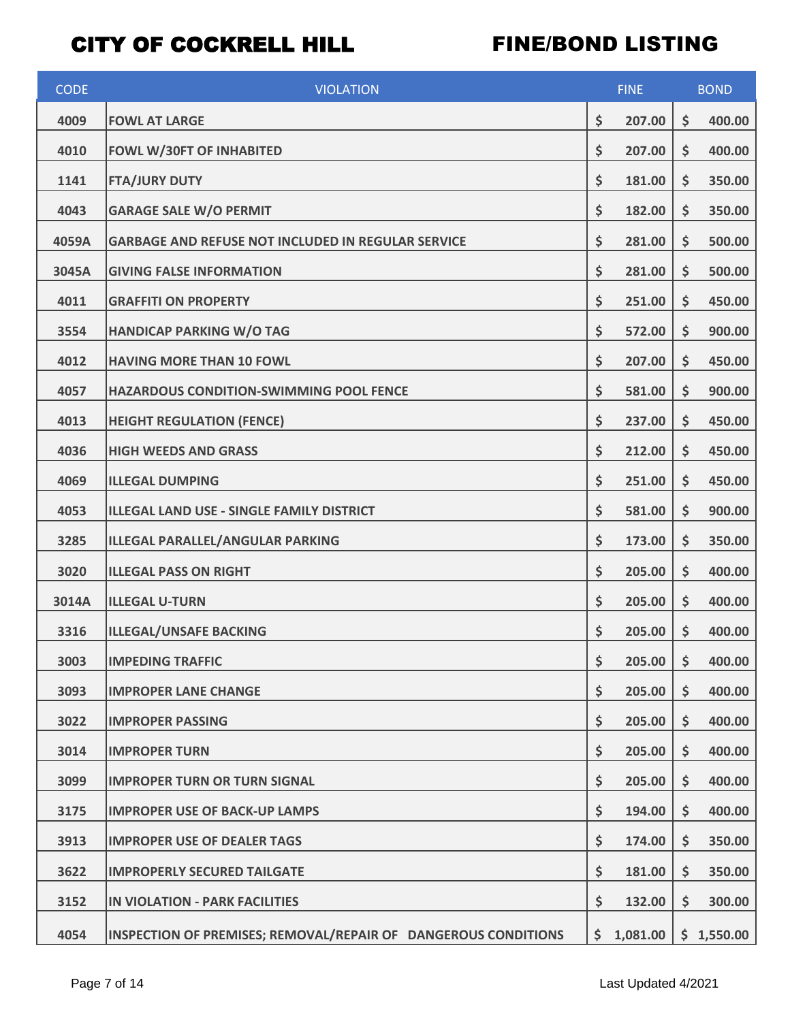| <b>CODE</b> | <b>VIOLATION</b>                                               | <b>FINE</b>    |    | <b>BOND</b> |  |
|-------------|----------------------------------------------------------------|----------------|----|-------------|--|
| 4009        | <b>FOWL AT LARGE</b>                                           | \$<br>207.00   | \$ | 400.00      |  |
| 4010        | <b>FOWL W/30FT OF INHABITED</b>                                | \$<br>207.00   | \$ | 400.00      |  |
| 1141        | <b>FTA/JURY DUTY</b>                                           | \$<br>181.00   | \$ | 350.00      |  |
| 4043        | <b>GARAGE SALE W/O PERMIT</b>                                  | \$<br>182.00   | \$ | 350.00      |  |
| 4059A       | <b>GARBAGE AND REFUSE NOT INCLUDED IN REGULAR SERVICE</b>      | \$<br>281.00   | \$ | 500.00      |  |
| 3045A       | <b>GIVING FALSE INFORMATION</b>                                | \$<br>281.00   | \$ | 500.00      |  |
| 4011        | <b>GRAFFITI ON PROPERTY</b>                                    | \$<br>251.00   | \$ | 450.00      |  |
| 3554        | <b>HANDICAP PARKING W/O TAG</b>                                | \$<br>572.00   | \$ | 900.00      |  |
| 4012        | <b>HAVING MORE THAN 10 FOWL</b>                                | \$<br>207.00   | \$ | 450.00      |  |
| 4057        | HAZARDOUS CONDITION-SWIMMING POOL FENCE                        | \$<br>581.00   | \$ | 900.00      |  |
| 4013        | <b>HEIGHT REGULATION (FENCE)</b>                               | \$<br>237.00   | \$ | 450.00      |  |
| 4036        | <b>HIGH WEEDS AND GRASS</b>                                    | \$<br>212.00   | \$ | 450.00      |  |
| 4069        | <b>ILLEGAL DUMPING</b>                                         | \$<br>251.00   | \$ | 450.00      |  |
| 4053        | ILLEGAL LAND USE - SINGLE FAMILY DISTRICT                      | \$<br>581.00   | \$ | 900.00      |  |
| 3285        | ILLEGAL PARALLEL/ANGULAR PARKING                               | \$<br>173.00   | \$ | 350.00      |  |
| 3020        | <b>ILLEGAL PASS ON RIGHT</b>                                   | \$<br>205.00   | \$ | 400.00      |  |
| 3014A       | <b>ILLEGAL U-TURN</b>                                          | \$<br>205.00   | \$ | 400.00      |  |
| 3316        | <b>ILLEGAL/UNSAFE BACKING</b>                                  | \$<br>205.00   | \$ | 400.00      |  |
| 3003        | <b>IMPEDING TRAFFIC</b>                                        | \$<br>205.00   | \$ | 400.00      |  |
| 3093        | <b>IMPROPER LANE CHANGE</b>                                    | \$<br>205.00   | \$ | 400.00      |  |
| 3022        | <b>IMPROPER PASSING</b>                                        | \$<br>205.00   | \$ | 400.00      |  |
| 3014        | <b>IMPROPER TURN</b>                                           | \$<br>205.00   | \$ | 400.00      |  |
| 3099        | <b>IMPROPER TURN OR TURN SIGNAL</b>                            | \$<br>205.00   | \$ | 400.00      |  |
| 3175        | <b>IMPROPER USE OF BACK-UP LAMPS</b>                           | \$<br>194.00   | \$ | 400.00      |  |
| 3913        | <b>IMPROPER USE OF DEALER TAGS</b>                             | \$<br>174.00   | \$ | 350.00      |  |
| 3622        | <b>IMPROPERLY SECURED TAILGATE</b>                             | \$<br>181.00   | \$ | 350.00      |  |
| 3152        | <b>IN VIOLATION - PARK FACILITIES</b>                          | \$<br>132.00   | \$ | 300.00      |  |
| 4054        | INSPECTION OF PREMISES; REMOVAL/REPAIR OF DANGEROUS CONDITIONS | \$<br>1,081.00 |    | \$1,550.00  |  |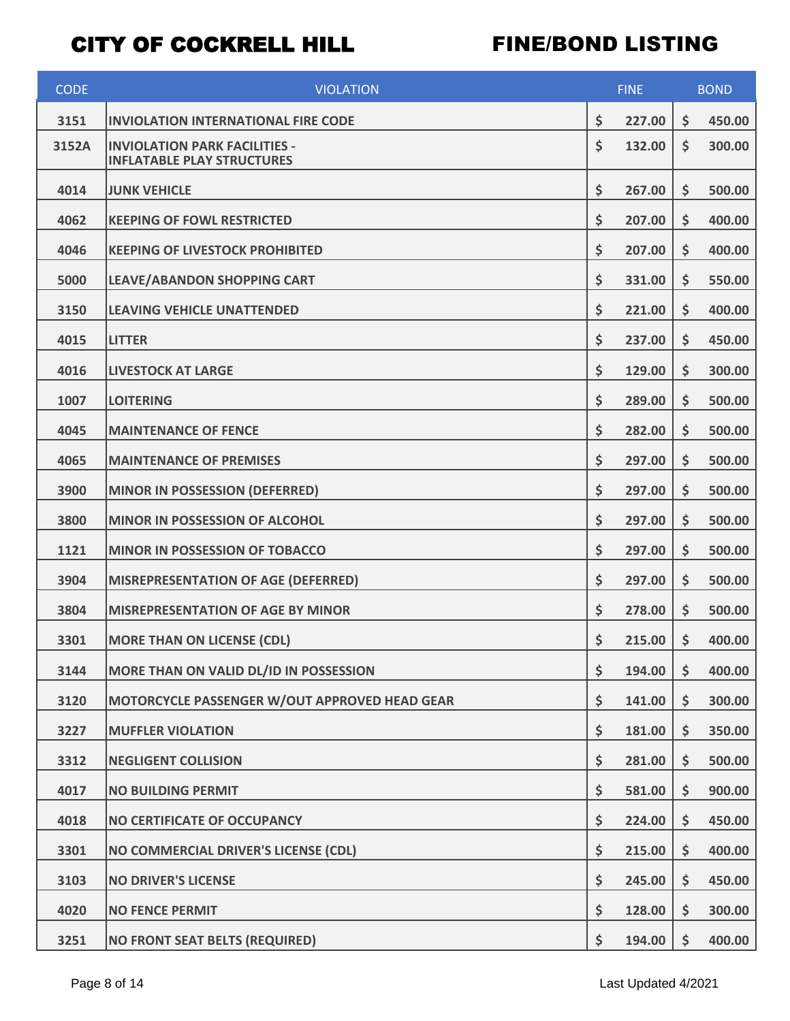| <b>CODE</b> | <b>VIOLATION</b>                                                          | <b>FINE</b> |        | <b>BOND</b> |        |
|-------------|---------------------------------------------------------------------------|-------------|--------|-------------|--------|
| 3151        | <b>INVIOLATION INTERNATIONAL FIRE CODE</b>                                | \$          | 227.00 | \$          | 450.00 |
| 3152A       | <b>INVIOLATION PARK FACILITIES -</b><br><b>INFLATABLE PLAY STRUCTURES</b> | \$          | 132.00 | \$          | 300.00 |
| 4014        | <b>JUNK VEHICLE</b>                                                       | \$          | 267.00 | \$          | 500.00 |
| 4062        | <b>KEEPING OF FOWL RESTRICTED</b>                                         | \$          | 207.00 | \$          | 400.00 |
| 4046        | <b>KEEPING OF LIVESTOCK PROHIBITED</b>                                    | \$          | 207.00 | \$          | 400.00 |
| 5000        | LEAVE/ABANDON SHOPPING CART                                               | \$          | 331.00 | \$          | 550.00 |
| 3150        | <b>LEAVING VEHICLE UNATTENDED</b>                                         | \$          | 221.00 | \$          | 400.00 |
| 4015        | <b>LITTER</b>                                                             | \$          | 237.00 | \$          | 450.00 |
| 4016        | <b>LIVESTOCK AT LARGE</b>                                                 | \$          | 129.00 | \$          | 300.00 |
| 1007        | <b>LOITERING</b>                                                          | \$          | 289.00 | \$          | 500.00 |
| 4045        | <b>MAINTENANCE OF FENCE</b>                                               | \$          | 282.00 | \$          | 500.00 |
| 4065        | <b>MAINTENANCE OF PREMISES</b>                                            | \$          | 297.00 | \$          | 500.00 |
| 3900        | <b>MINOR IN POSSESSION (DEFERRED)</b>                                     | \$          | 297.00 | \$          | 500.00 |
| 3800        | MINOR IN POSSESSION OF ALCOHOL                                            | \$          | 297.00 | \$          | 500.00 |
| 1121        | MINOR IN POSSESSION OF TOBACCO                                            | \$          | 297.00 | \$          | 500.00 |
| 3904        | <b>MISREPRESENTATION OF AGE (DEFERRED)</b>                                | \$          | 297.00 | \$          | 500.00 |
| 3804        | <b>MISREPRESENTATION OF AGE BY MINOR</b>                                  | \$          | 278.00 | \$          | 500.00 |
| 3301        | <b>MORE THAN ON LICENSE (CDL)</b>                                         | \$          | 215.00 | \$          | 400.00 |
| 3144        | MORE THAN ON VALID DL/ID IN POSSESSION                                    | \$          | 194.00 | \$          | 400.00 |
| 3120        | MOTORCYCLE PASSENGER W/OUT APPROVED HEAD GEAR                             | \$          | 141.00 | \$          | 300.00 |
| 3227        | <b>MUFFLER VIOLATION</b>                                                  | \$          | 181.00 | \$          | 350.00 |
| 3312        | <b>NEGLIGENT COLLISION</b>                                                | \$          | 281.00 | \$          | 500.00 |
| 4017        | <b>NO BUILDING PERMIT</b>                                                 | \$          | 581.00 | \$          | 900.00 |
| 4018        | NO CERTIFICATE OF OCCUPANCY                                               | \$          | 224.00 | \$          | 450.00 |
| 3301        | NO COMMERCIAL DRIVER'S LICENSE (CDL)                                      | \$          | 215.00 | \$          | 400.00 |
| 3103        | <b>NO DRIVER'S LICENSE</b>                                                | \$          | 245.00 | \$          | 450.00 |
| 4020        | <b>NO FENCE PERMIT</b>                                                    | \$          | 128.00 | \$          | 300.00 |
| 3251        | <b>NO FRONT SEAT BELTS (REQUIRED)</b>                                     | \$          | 194.00 | \$          | 400.00 |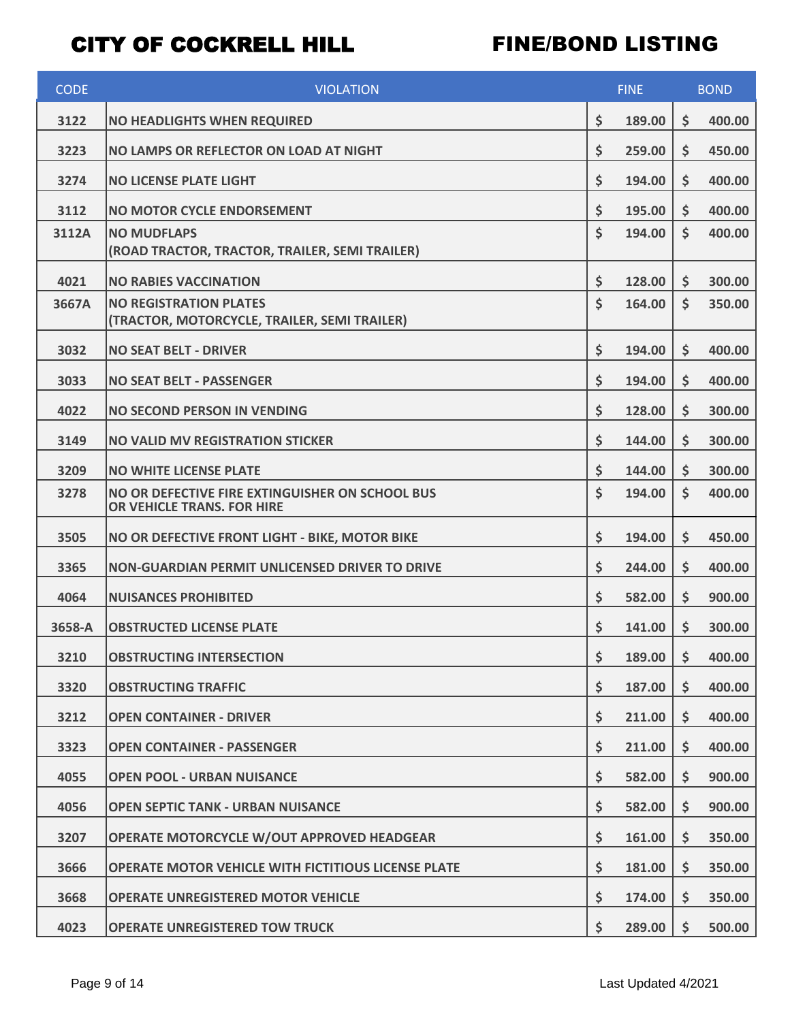| <b>CODE</b> | <b>VIOLATION</b>                                                              | <b>FINE</b> |        | <b>BOND</b>        |        |
|-------------|-------------------------------------------------------------------------------|-------------|--------|--------------------|--------|
| 3122        | <b>NO HEADLIGHTS WHEN REQUIRED</b>                                            | \$          | 189.00 | \$                 | 400.00 |
| 3223        | NO LAMPS OR REFLECTOR ON LOAD AT NIGHT                                        | \$          | 259.00 | \$                 | 450.00 |
| 3274        | <b>NO LICENSE PLATE LIGHT</b>                                                 | \$          | 194.00 | \$                 | 400.00 |
| 3112        | <b>NO MOTOR CYCLE ENDORSEMENT</b>                                             | \$          | 195.00 | \$                 | 400.00 |
| 3112A       | <b>NO MUDFLAPS</b><br>(ROAD TRACTOR, TRACTOR, TRAILER, SEMI TRAILER)          | \$          | 194.00 | $\mathsf{\dot{S}}$ | 400.00 |
| 4021        | <b>NO RABIES VACCINATION</b>                                                  | \$          | 128.00 | \$                 | 300.00 |
| 3667A       | <b>NO REGISTRATION PLATES</b><br>(TRACTOR, MOTORCYCLE, TRAILER, SEMI TRAILER) | \$          | 164.00 | $\mathsf{\dot{S}}$ | 350.00 |
| 3032        | <b>NO SEAT BELT - DRIVER</b>                                                  | \$          | 194.00 | \$                 | 400.00 |
| 3033        | <b>NO SEAT BELT - PASSENGER</b>                                               | \$          | 194.00 | \$                 | 400.00 |
| 4022        | <b>NO SECOND PERSON IN VENDING</b>                                            | \$          | 128.00 | \$                 | 300.00 |
| 3149        | <b>NO VALID MV REGISTRATION STICKER</b>                                       | \$          | 144.00 | \$                 | 300.00 |
| 3209        | <b>NO WHITE LICENSE PLATE</b>                                                 | \$          | 144.00 | \$                 | 300.00 |
| 3278        | NO OR DEFECTIVE FIRE EXTINGUISHER ON SCHOOL BUS<br>OR VEHICLE TRANS. FOR HIRE | \$          | 194.00 | \$                 | 400.00 |
| 3505        | NO OR DEFECTIVE FRONT LIGHT - BIKE, MOTOR BIKE                                | \$          | 194.00 | \$                 | 450.00 |
| 3365        | <b>NON-GUARDIAN PERMIT UNLICENSED DRIVER TO DRIVE</b>                         | \$          | 244.00 | \$                 | 400.00 |
| 4064        | <b>NUISANCES PROHIBITED</b>                                                   | \$          | 582.00 | \$                 | 900.00 |
| 3658-A      | <b>OBSTRUCTED LICENSE PLATE</b>                                               | \$          | 141.00 | \$                 | 300.00 |
| 3210        | <b>OBSTRUCTING INTERSECTION</b>                                               | \$          | 189.00 | \$                 | 400.00 |
| 3320        | <b>OBSTRUCTING TRAFFIC</b>                                                    | \$          | 187.00 | \$                 | 400.00 |
| 3212        | <b>OPEN CONTAINER - DRIVER</b>                                                | \$          | 211.00 | \$                 | 400.00 |
| 3323        | <b>OPEN CONTAINER - PASSENGER</b>                                             | \$          | 211.00 | \$                 | 400.00 |
| 4055        | <b>OPEN POOL - URBAN NUISANCE</b>                                             | \$          | 582.00 | \$                 | 900.00 |
| 4056        | <b>OPEN SEPTIC TANK - URBAN NUISANCE</b>                                      | \$          | 582.00 | \$                 | 900.00 |
| 3207        | OPERATE MOTORCYCLE W/OUT APPROVED HEADGEAR                                    | \$          | 161.00 | \$                 | 350.00 |
| 3666        | OPERATE MOTOR VEHICLE WITH FICTITIOUS LICENSE PLATE                           | \$          | 181.00 | \$                 | 350.00 |
| 3668        | <b>OPERATE UNREGISTERED MOTOR VEHICLE</b>                                     | \$          | 174.00 | \$                 | 350.00 |
| 4023        | <b>OPERATE UNREGISTERED TOW TRUCK</b>                                         | \$          | 289.00 | \$                 | 500.00 |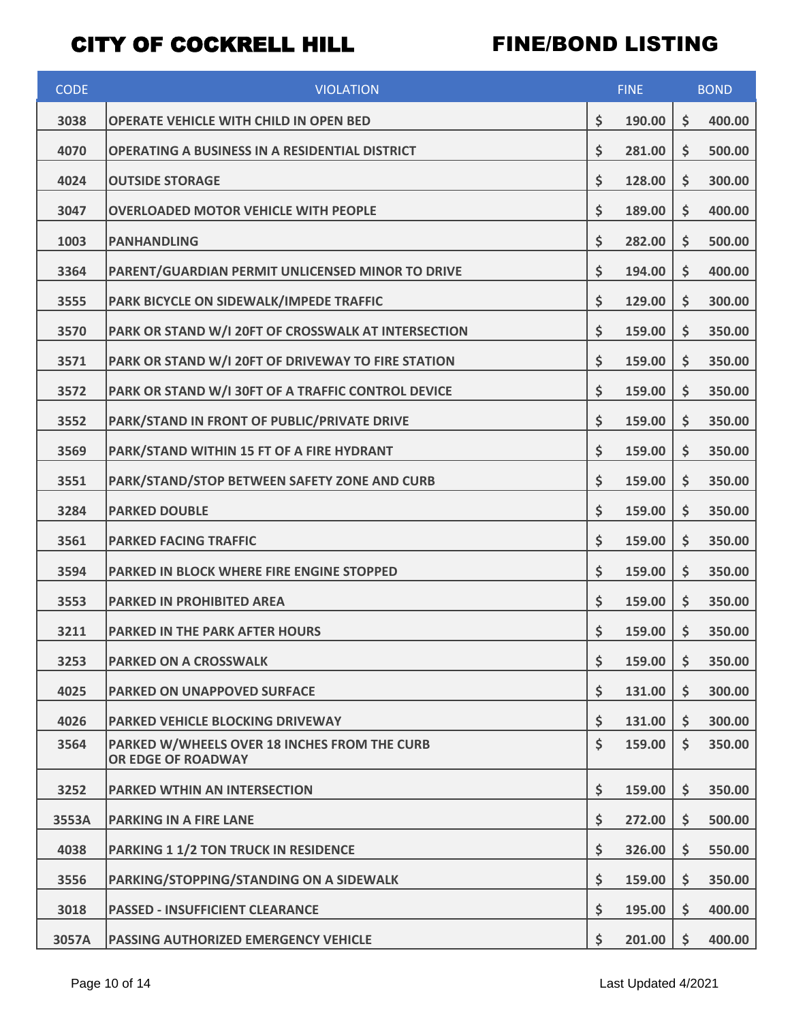| <b>CODE</b> | <b>VIOLATION</b>                                                   | <b>FINE</b> |        | <b>BOND</b>        |        |
|-------------|--------------------------------------------------------------------|-------------|--------|--------------------|--------|
| 3038        | OPERATE VEHICLE WITH CHILD IN OPEN BED                             | \$          | 190.00 | \$                 | 400.00 |
| 4070        | OPERATING A BUSINESS IN A RESIDENTIAL DISTRICT                     | \$          | 281.00 | \$                 | 500.00 |
| 4024        | <b>OUTSIDE STORAGE</b>                                             | \$          | 128.00 | \$                 | 300.00 |
| 3047        | <b>OVERLOADED MOTOR VEHICLE WITH PEOPLE</b>                        | \$          | 189.00 | \$                 | 400.00 |
| 1003        | <b>PANHANDLING</b>                                                 | \$          | 282.00 | \$                 | 500.00 |
| 3364        | PARENT/GUARDIAN PERMIT UNLICENSED MINOR TO DRIVE                   | \$          | 194.00 | \$                 | 400.00 |
| 3555        | PARK BICYCLE ON SIDEWALK/IMPEDE TRAFFIC                            | \$          | 129.00 | \$                 | 300.00 |
| 3570        | PARK OR STAND W/I 20FT OF CROSSWALK AT INTERSECTION                | \$          | 159.00 | \$                 | 350.00 |
| 3571        | PARK OR STAND W/I 20FT OF DRIVEWAY TO FIRE STATION                 | \$          | 159.00 | \$                 | 350.00 |
| 3572        | PARK OR STAND W/I 30FT OF A TRAFFIC CONTROL DEVICE                 | \$          | 159.00 | \$                 | 350.00 |
| 3552        | PARK/STAND IN FRONT OF PUBLIC/PRIVATE DRIVE                        | \$          | 159.00 | \$                 | 350.00 |
| 3569        | PARK/STAND WITHIN 15 FT OF A FIRE HYDRANT                          | \$          | 159.00 | \$                 | 350.00 |
| 3551        | PARK/STAND/STOP BETWEEN SAFETY ZONE AND CURB                       | \$          | 159.00 | \$                 | 350.00 |
| 3284        | <b>PARKED DOUBLE</b>                                               | \$          | 159.00 | \$                 | 350.00 |
| 3561        | <b>PARKED FACING TRAFFIC</b>                                       | \$          | 159.00 | \$                 | 350.00 |
| 3594        | PARKED IN BLOCK WHERE FIRE ENGINE STOPPED                          | \$          | 159.00 | \$                 | 350.00 |
| 3553        | <b>PARKED IN PROHIBITED AREA</b>                                   | \$          | 159.00 | \$                 | 350.00 |
| 3211        | <b>PARKED IN THE PARK AFTER HOURS</b>                              | \$          | 159.00 | \$                 | 350.00 |
| 3253        | <b>PARKED ON A CROSSWALK</b>                                       | \$          | 159.00 | \$                 | 350.00 |
| 4025        | <b>PARKED ON UNAPPOVED SURFACE</b>                                 | \$          | 131.00 | \$                 | 300.00 |
| 4026        | <b>PARKED VEHICLE BLOCKING DRIVEWAY</b>                            | \$          | 131.00 | \$                 | 300.00 |
| 3564        | PARKED W/WHEELS OVER 18 INCHES FROM THE CURB<br>OR EDGE OF ROADWAY | \$          | 159.00 | $\mathsf{\dot{S}}$ | 350.00 |
| 3252        | <b>PARKED WTHIN AN INTERSECTION</b>                                | \$          | 159.00 | \$                 | 350.00 |
| 3553A       | <b>PARKING IN A FIRE LANE</b>                                      | \$          | 272.00 | \$                 | 500.00 |
| 4038        | <b>PARKING 1 1/2 TON TRUCK IN RESIDENCE</b>                        | \$          | 326.00 | \$                 | 550.00 |
| 3556        | PARKING/STOPPING/STANDING ON A SIDEWALK                            | \$          | 159.00 | \$                 | 350.00 |
| 3018        | <b>PASSED - INSUFFICIENT CLEARANCE</b>                             | \$          | 195.00 | \$                 | 400.00 |
| 3057A       | <b>PASSING AUTHORIZED EMERGENCY VEHICLE</b>                        | \$          | 201.00 | \$                 | 400.00 |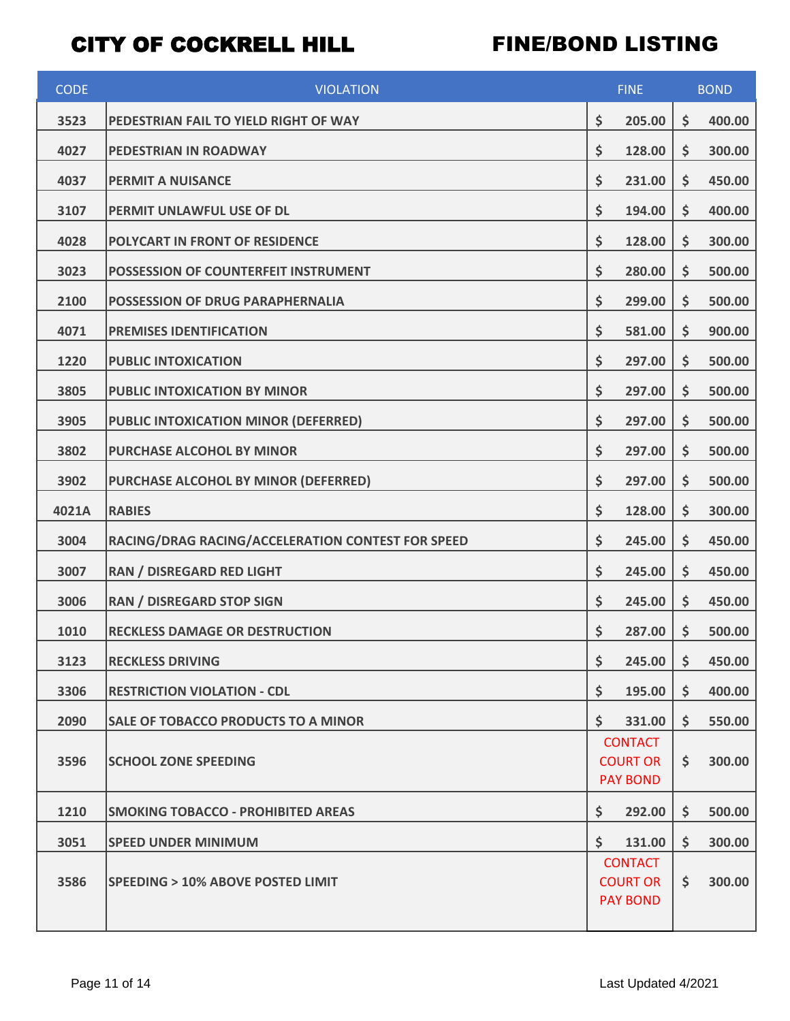| <b>CODE</b> | <b>VIOLATION</b>                                  | <b>FINE</b>                                          |    | <b>BOND</b> |  |
|-------------|---------------------------------------------------|------------------------------------------------------|----|-------------|--|
| 3523        | PEDESTRIAN FAIL TO YIELD RIGHT OF WAY             | \$<br>205.00                                         | \$ | 400.00      |  |
| 4027        | PEDESTRIAN IN ROADWAY                             | \$<br>128.00                                         | \$ | 300.00      |  |
| 4037        | <b>PERMIT A NUISANCE</b>                          | \$<br>231.00                                         | \$ | 450.00      |  |
| 3107        | PERMIT UNLAWFUL USE OF DL                         | \$<br>194.00                                         | \$ | 400.00      |  |
| 4028        | POLYCART IN FRONT OF RESIDENCE                    | \$<br>128.00                                         | \$ | 300.00      |  |
| 3023        | POSSESSION OF COUNTERFEIT INSTRUMENT              | \$<br>280.00                                         | \$ | 500.00      |  |
| 2100        | <b>POSSESSION OF DRUG PARAPHERNALIA</b>           | \$<br>299.00                                         | \$ | 500.00      |  |
| 4071        | <b>PREMISES IDENTIFICATION</b>                    | \$<br>581.00                                         | \$ | 900.00      |  |
| 1220        | <b>PUBLIC INTOXICATION</b>                        | \$<br>297.00                                         | \$ | 500.00      |  |
| 3805        | <b>PUBLIC INTOXICATION BY MINOR</b>               | \$<br>297.00                                         | \$ | 500.00      |  |
| 3905        | <b>PUBLIC INTOXICATION MINOR (DEFERRED)</b>       | \$<br>297.00                                         | \$ | 500.00      |  |
| 3802        | PURCHASE ALCOHOL BY MINOR                         | \$<br>297.00                                         | \$ | 500.00      |  |
| 3902        | PURCHASE ALCOHOL BY MINOR (DEFERRED)              | \$<br>297.00                                         | \$ | 500.00      |  |
| 4021A       | <b>RABIES</b>                                     | \$<br>128.00                                         | \$ | 300.00      |  |
| 3004        | RACING/DRAG RACING/ACCELERATION CONTEST FOR SPEED | \$<br>245.00                                         | \$ | 450.00      |  |
| 3007        | RAN / DISREGARD RED LIGHT                         | \$<br>245.00                                         | \$ | 450.00      |  |
| 3006        | <b>RAN / DISREGARD STOP SIGN</b>                  | \$<br>245.00                                         | \$ | 450.00      |  |
| 1010        | <b>RECKLESS DAMAGE OR DESTRUCTION</b>             | \$<br>287.00                                         | \$ | 500.00      |  |
| 3123        | <b>RECKLESS DRIVING</b>                           | \$<br>245.00                                         | \$ | 450.00      |  |
| 3306        | <b>RESTRICTION VIOLATION - CDL</b>                | \$<br>195.00                                         | \$ | 400.00      |  |
| 2090        | <b>SALE OF TOBACCO PRODUCTS TO A MINOR</b>        | \$<br>331.00                                         | \$ | 550.00      |  |
| 3596        | <b>SCHOOL ZONE SPEEDING</b>                       | <b>CONTACT</b><br><b>COURT OR</b>                    | \$ | 300.00      |  |
|             |                                                   | <b>PAY BOND</b>                                      |    |             |  |
| 1210        | <b>SMOKING TOBACCO - PROHIBITED AREAS</b>         | \$<br>292.00                                         | \$ | 500.00      |  |
| 3051        | <b>SPEED UNDER MINIMUM</b>                        | \$<br>131.00                                         | \$ | 300.00      |  |
| 3586        | SPEEDING > 10% ABOVE POSTED LIMIT                 | <b>CONTACT</b><br><b>COURT OR</b><br><b>PAY BOND</b> | \$ | 300.00      |  |
|             |                                                   |                                                      |    |             |  |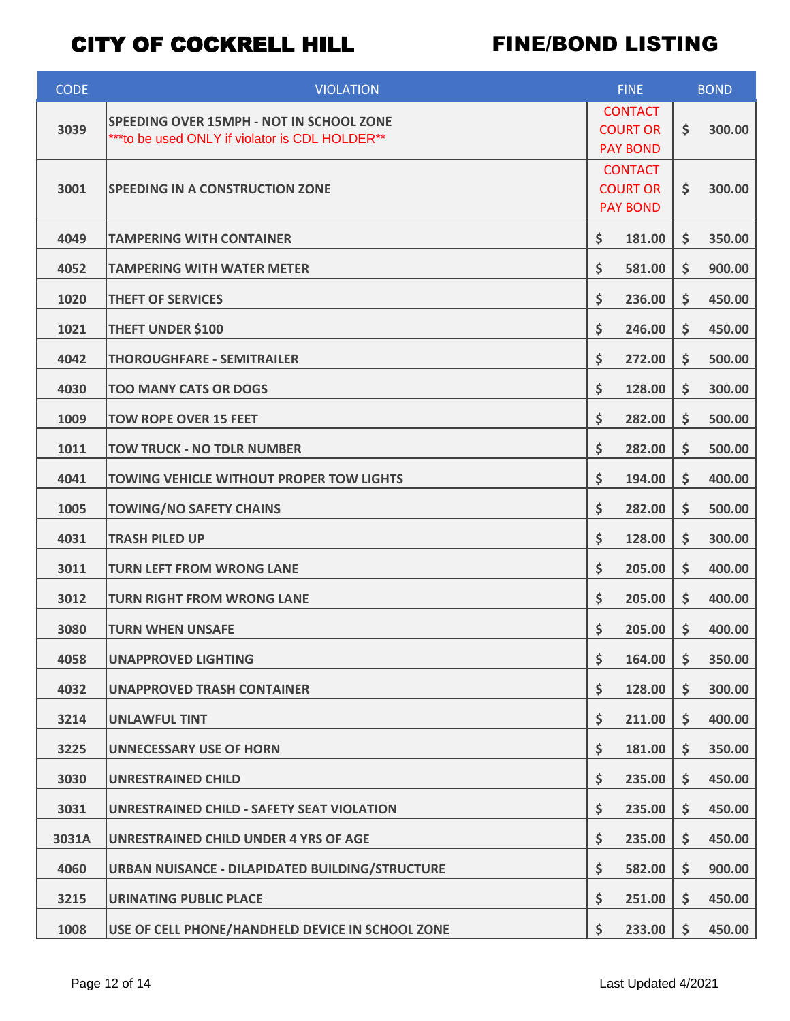| <b>CODE</b> | <b>VIOLATION</b>                                                                            | <b>FINE</b>                                          |    | <b>BOND</b> |  |
|-------------|---------------------------------------------------------------------------------------------|------------------------------------------------------|----|-------------|--|
| 3039        | SPEEDING OVER 15MPH - NOT IN SCHOOL ZONE<br>*** to be used ONLY if violator is CDL HOLDER** | <b>CONTACT</b><br><b>COURT OR</b><br><b>PAY BOND</b> | \$ | 300.00      |  |
| 3001        | <b>SPEEDING IN A CONSTRUCTION ZONE</b>                                                      | <b>CONTACT</b><br><b>COURT OR</b><br><b>PAY BOND</b> |    | 300.00      |  |
| 4049        | <b>TAMPERING WITH CONTAINER</b>                                                             | \$<br>181.00                                         | Ş  | 350.00      |  |
| 4052        | TAMPERING WITH WATER METER                                                                  | \$<br>581.00                                         | \$ | 900.00      |  |
| 1020        | <b>THEFT OF SERVICES</b>                                                                    | \$<br>236.00                                         | \$ | 450.00      |  |
| 1021        | <b>THEFT UNDER \$100</b>                                                                    | \$<br>246.00                                         | \$ | 450.00      |  |
| 4042        | <b>THOROUGHFARE - SEMITRAILER</b>                                                           | \$<br>272.00                                         | \$ | 500.00      |  |
| 4030        | <b>TOO MANY CATS OR DOGS</b>                                                                | \$<br>128.00                                         | \$ | 300.00      |  |
| 1009        | <b>TOW ROPE OVER 15 FEET</b>                                                                | \$<br>282.00                                         | \$ | 500.00      |  |
| 1011        | <b>TOW TRUCK - NO TDLR NUMBER</b>                                                           | \$<br>282.00                                         | \$ | 500.00      |  |
| 4041        | <b>TOWING VEHICLE WITHOUT PROPER TOW LIGHTS</b>                                             | \$<br>194.00                                         | \$ | 400.00      |  |
| 1005        | <b>TOWING/NO SAFETY CHAINS</b>                                                              | \$<br>282.00                                         | \$ | 500.00      |  |
| 4031        | <b>TRASH PILED UP</b>                                                                       | \$<br>128.00                                         | \$ | 300.00      |  |
| 3011        | <b>TURN LEFT FROM WRONG LANE</b>                                                            | \$<br>205.00                                         | \$ | 400.00      |  |
| 3012        | <b>TURN RIGHT FROM WRONG LANE</b>                                                           | \$<br>205.00                                         | \$ | 400.00      |  |
| 3080        | <b>TURN WHEN UNSAFE</b>                                                                     | \$<br>205.00                                         | \$ | 400.00      |  |
| 4058        | <b>UNAPPROVED LIGHTING</b>                                                                  | \$<br>164.00                                         | \$ | 350.00      |  |
| 4032        | <b>UNAPPROVED TRASH CONTAINER</b>                                                           | \$<br>128.00                                         | \$ | 300.00      |  |
| 3214        | <b>UNLAWFUL TINT</b>                                                                        | \$<br>211.00                                         | \$ | 400.00      |  |
| 3225        | <b>UNNECESSARY USE OF HORN</b>                                                              | \$<br>181.00                                         | \$ | 350.00      |  |
| 3030        | <b>UNRESTRAINED CHILD</b>                                                                   | \$<br>235.00                                         | \$ | 450.00      |  |
| 3031        | <b>UNRESTRAINED CHILD - SAFETY SEAT VIOLATION</b>                                           | \$<br>235.00                                         | \$ | 450.00      |  |
| 3031A       | <b>UNRESTRAINED CHILD UNDER 4 YRS OF AGE</b>                                                | \$<br>235.00                                         | \$ | 450.00      |  |
| 4060        | <b>URBAN NUISANCE - DILAPIDATED BUILDING/STRUCTURE</b>                                      | \$<br>582.00                                         | \$ | 900.00      |  |
| 3215        | <b>URINATING PUBLIC PLACE</b>                                                               | \$<br>251.00                                         | \$ | 450.00      |  |
| 1008        | USE OF CELL PHONE/HANDHELD DEVICE IN SCHOOL ZONE                                            | \$<br>233.00                                         | \$ | 450.00      |  |